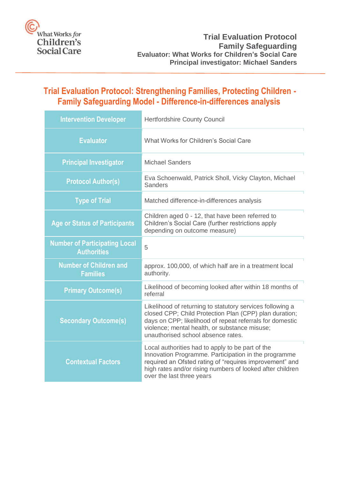

# <span id="page-0-0"></span>**Trial Evaluation Protocol: Strengthening Families, Protecting Children - Family Safeguarding Model - Difference-in-differences analysis**

| <b>Intervention Developer</b>                              | <b>Hertfordshire County Council</b>                                                                                                                                                                                                                                    |
|------------------------------------------------------------|------------------------------------------------------------------------------------------------------------------------------------------------------------------------------------------------------------------------------------------------------------------------|
| <b>Evaluator</b>                                           | What Works for Children's Social Care                                                                                                                                                                                                                                  |
| <b>Principal Investigator</b>                              | <b>Michael Sanders</b>                                                                                                                                                                                                                                                 |
| <b>Protocol Author(s)</b>                                  | Eva Schoenwald, Patrick Sholl, Vicky Clayton, Michael<br><b>Sanders</b>                                                                                                                                                                                                |
| <b>Type of Trial</b>                                       | Matched difference-in-differences analysis                                                                                                                                                                                                                             |
| <b>Age or Status of Participants</b>                       | Children aged 0 - 12, that have been referred to<br>Children's Social Care (further restrictions apply<br>depending on outcome measure)                                                                                                                                |
| <b>Number of Participating Local</b><br><b>Authorities</b> | 5                                                                                                                                                                                                                                                                      |
| <b>Number of Children and</b><br><b>Families</b>           | approx. 100,000, of which half are in a treatment local<br>authority.                                                                                                                                                                                                  |
| <b>Primary Outcome(s)</b>                                  | Likelihood of becoming looked after within 18 months of<br>referral                                                                                                                                                                                                    |
| <b>Secondary Outcome(s)</b>                                | Likelihood of returning to statutory services following a<br>closed CPP; Child Protection Plan (CPP) plan duration;<br>days on CPP; likelihood of repeat referrals for domestic<br>violence; mental health, or substance misuse;<br>unauthorised school absence rates. |
| <b>Contextual Factors</b>                                  | Local authorities had to apply to be part of the<br>Innovation Programme. Participation in the programme<br>required an Ofsted rating of "requires improvement" and<br>high rates and/or rising numbers of looked after children<br>over the last three years          |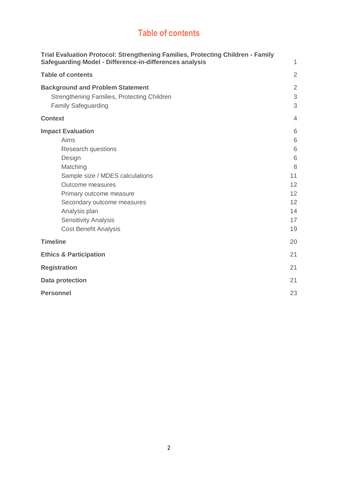# **Table of contents**

<span id="page-1-1"></span><span id="page-1-0"></span>

| Trial Evaluation Protocol: Strengthening Families, Protecting Children - Family<br><b>Safeguarding Model - Difference-in-differences analysis</b>                                                                                                                                          | 1                                                               |
|--------------------------------------------------------------------------------------------------------------------------------------------------------------------------------------------------------------------------------------------------------------------------------------------|-----------------------------------------------------------------|
| <b>Table of contents</b>                                                                                                                                                                                                                                                                   | $\overline{2}$                                                  |
| <b>Background and Problem Statement</b><br>Strengthening Families, Protecting Children<br><b>Family Safeguarding</b>                                                                                                                                                                       | $\overline{2}$<br>3<br>3                                        |
| <b>Context</b>                                                                                                                                                                                                                                                                             | $\overline{4}$                                                  |
| <b>Impact Evaluation</b><br>Aims<br><b>Research questions</b><br>Design<br>Matching<br>Sample size / MDES calculations<br><b>Outcome measures</b><br>Primary outcome measure<br>Secondary outcome measures<br>Analysis plan<br><b>Sensitivity Analysis</b><br><b>Cost Benefit Analysis</b> | 6<br>6<br>6<br>6<br>8<br>11<br>12<br>12<br>12<br>14<br>17<br>19 |
| <b>Timeline</b>                                                                                                                                                                                                                                                                            | 20                                                              |
| <b>Ethics &amp; Participation</b>                                                                                                                                                                                                                                                          | 21                                                              |
| <b>Registration</b>                                                                                                                                                                                                                                                                        | 21                                                              |
| <b>Data protection</b>                                                                                                                                                                                                                                                                     | 21                                                              |
| <b>Personnel</b>                                                                                                                                                                                                                                                                           | 23                                                              |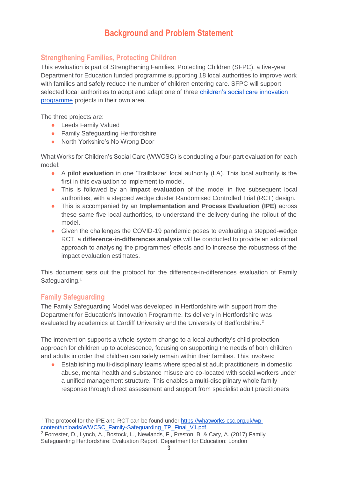# **Background and Problem Statement**

## <span id="page-2-0"></span>**Strengthening Families, Protecting Children**

This evaluation is part of Strengthening Families, Protecting Children (SFPC), a five-year Department for Education funded programme supporting 18 local authorities to improve work with families and safely reduce the number of children entering care. SFPC will support selected local authorities to adopt and adapt one of three [children's social care innovation](https://www.gov.uk/government/publications/childrens-social-care-innovation-programme)  [programme](https://www.gov.uk/government/publications/childrens-social-care-innovation-programme) projects in their own area.

The three projects are:

- Leeds Family Valued
- Family Safeguarding Hertfordshire
- North Yorkshire's No Wrong Door

What Works for Children's Social Care (WWCSC) is conducting a four-part evaluation for each model:

- A **pilot evaluation** in one 'Trailblazer' local authority (LA). This local authority is the first in this evaluation to implement to model.
- This is followed by an **impact evaluation** of the model in five subsequent local authorities, with a stepped wedge cluster Randomised Controlled Trial (RCT) design.
- This is accompanied by an **Implementation and Process Evaluation (IPE)** across these same five local authorities, to understand the delivery during the rollout of the model.
- Given the challenges the COVID-19 pandemic poses to evaluating a stepped-wedge RCT, a **difference-in-differences analysis** will be conducted to provide an additional approach to analysing the programmes' effects and to increase the robustness of the impact evaluation estimates.

This document sets out the protocol for the difference-in-differences evaluation of Family Safeguarding.<sup>1</sup>

### <span id="page-2-1"></span>**Family Safeguarding**

 $\overline{a}$ 

The Family Safeguarding Model was developed in Hertfordshire with support from the Department for Education's Innovation Programme. Its delivery in Hertfordshire was evaluated by academics at Cardiff University and the University of Bedfordshire.<sup>2</sup>

The intervention supports a whole-system change to a local authority's child protection approach for children up to adolescence, focusing on supporting the needs of both children and adults in order that children can safely remain within their families. This involves:

● Establishing multi-disciplinary teams where specialist adult practitioners in domestic abuse, mental health and substance misuse are co-located with social workers under a unified management structure. This enables a multi-disciplinary whole family response through direct assessment and support from specialist adult practitioners

<sup>&</sup>lt;sup>1</sup> The protocol for the IPE and RCT can be found under [https://whatworks-csc.org.uk/wp](https://whatworks-csc.org.uk/wp-content/uploads/WWCSC_Family-Safeguarding_TP_Final_V1.pdf)[content/uploads/WWCSC\\_Family-Safeguarding\\_TP\\_Final\\_V1.pdf.](https://whatworks-csc.org.uk/wp-content/uploads/WWCSC_Family-Safeguarding_TP_Final_V1.pdf)

<sup>&</sup>lt;sup>2</sup> Forrester, D., Lynch, A., Bostock, L., Newlands, F., Preston, B. & Cary, A. (2017) Family Safeguarding Hertfordshire: Evaluation Report. Department for Education: London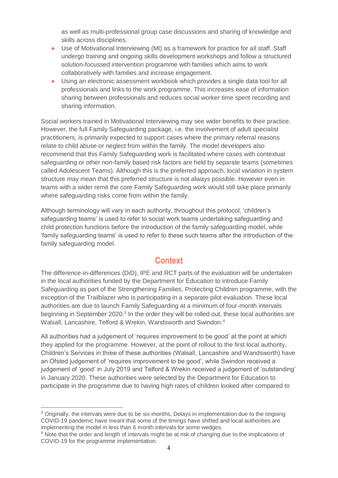as well as multi-professional group case discussions and sharing of knowledge and skills across disciplines.

- Use of Motivational Interviewing (MI) as a framework for practice for all staff. Staff undergo training and ongoing skills development workshops and follow a structured solution-focussed intervention programme with families which aims to work collaboratively with families and increase engagement.
- Using an electronic assessment workbook which provides a single data tool for all professionals and links to the work programme. This increases ease of information sharing between professionals and reduces social worker time spent recording and sharing information.

Social workers trained in Motivational Interviewing may see wider benefits to their practice. However, the full Family Safeguarding package, i.e. the involvement of adult specialist practitioners, is primarily expected to support cases where the primary referral reasons relate to child abuse or neglect from within the family. The model developers also recommend that this Family Safeguarding work is facilitated where cases with contextual safeguarding or other non-family based risk factors are held by separate teams (sometimes called Adolescent Teams). Although this is the preferred approach, local variation in system structure may mean that this preferred structure is not always possible. However even in teams with a wider remit the core Family Safeguarding work would still take place primarily where safeguarding risks come from within the family.

Although terminology will vary in each authority, throughout this protocol, 'children's safeguarding teams' is used to refer to social work teams undertaking safeguarding and child protection functions before the introduction of the family safeguarding model, while 'family safeguarding teams' is used to refer to these such teams after the introduction of the family safeguarding model.

## **Context**

<span id="page-3-0"></span>The difference-in-differences (DiD), IPE and RCT parts of the evaluation will be undertaken in the local authorities funded by the Department for Education to introduce Family Safeguarding as part of the Strengthening Families, Protecting Children programme, with the exception of the Trailblazer who is participating in a separate pilot evaluation. These local authorities are due to launch Family Safeguarding at a minimum of four-month intervals beginning in September 2020.<sup>3</sup> In the order they will be rolled out, these local authorities are Walsall, Lancashire, Telford & Wrekin, Wandsworth and Swindon.<sup>4</sup>

All authorities had a judgement of 'requires improvement to be good' at the point at which they applied for the programme. However, at the point of rollout to the first local authority, Children's Services in three of these authorities (Walsall, Lancashire and Wandsworth) have an Ofsted judgement of 'requires improvement to be good', while Swindon received a judgement of 'good' in July 2019 and Telford & Wrekin received a judgement of 'outstanding' in January 2020. These authorities were selected by the Department for Education to participate in the programme due to having high rates of children looked after compared to

<sup>&</sup>lt;sup>3</sup> Originally, the intervals were due to be six-months. Delays in implementation due to the ongoing COVID-19 pandemic have meant that some of the timings have shifted and local authorities are implementing the model in less than 6 month intervals for some wedges.

<sup>&</sup>lt;sup>4</sup> Note that the order and length of intervals might be at risk of changing due to the implications of COVID-19 for the programme implementation.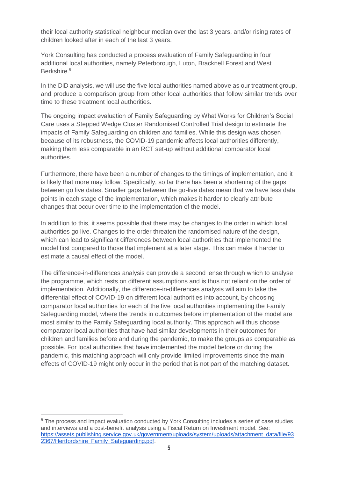their local authority statistical neighbour median over the last 3 years, and/or rising rates of children looked after in each of the last 3 years.

York Consulting has conducted a process evaluation of Family Safeguarding in four additional local authorities, namely Peterborough, Luton, Bracknell Forest and West Berkshire.<sup>5</sup>

In the DiD analysis, we will use the five local authorities named above as our treatment group, and produce a comparison group from other local authorities that follow similar trends over time to these treatment local authorities.

The ongoing impact evaluation of Family Safeguarding by What Works for Children's Social Care uses a Stepped Wedge Cluster Randomised Controlled Trial design to estimate the impacts of Family Safeguarding on children and families. While this design was chosen because of its robustness, the COVID-19 pandemic affects local authorities differently, making them less comparable in an RCT set-up without additional comparator local authorities.

Furthermore, there have been a number of changes to the timings of implementation, and it is likely that more may follow. Specifically, so far there has been a shortening of the gaps between go live dates. Smaller gaps between the go-live dates mean that we have less data points in each stage of the implementation, which makes it harder to clearly attribute changes that occur over time to the implementation of the model.

In addition to this, it seems possible that there may be changes to the order in which local authorities go live. Changes to the order threaten the randomised nature of the design, which can lead to significant differences between local authorities that implemented the model first compared to those that implement at a later stage. This can make it harder to estimate a causal effect of the model.

The difference-in-differences analysis can provide a second lense through which to analyse the programme, which rests on different assumptions and is thus not reliant on the order of implementation. Additionally, the difference-in-differences analysis will aim to take the differential effect of COVID-19 on different local authorities into account, by choosing comparator local authorities for each of the five local authorities implementing the Family Safeguarding model, where the trends in outcomes before implementation of the model are most similar to the Family Safeguarding local authority. This approach will thus choose comparator local authorities that have had similar developments in their outcomes for children and families before and during the pandemic, to make the groups as comparable as possible. For local authorities that have implemented the model before or during the pandemic, this matching approach will only provide limited improvements since the main effects of COVID-19 might only occur in the period that is not part of the matching dataset.

<sup>&</sup>lt;sup>5</sup> The process and impact evaluation conducted by York Consulting includes a series of case studies and interviews and a cost-benefit analysis using a Fiscal Return on Investment model. See: [https://assets.publishing.service.gov.uk/government/uploads/system/uploads/attachment\\_data/file/93](https://assets.publishing.service.gov.uk/government/uploads/system/uploads/attachment_data/file/932367/Hertfordshire_Family_Safeguarding.pdf) [2367/Hertfordshire\\_Family\\_Safeguarding.pdf.](https://assets.publishing.service.gov.uk/government/uploads/system/uploads/attachment_data/file/932367/Hertfordshire_Family_Safeguarding.pdf)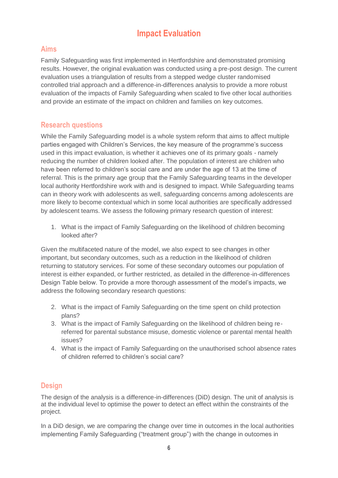# **Impact Evaluation**

## <span id="page-5-1"></span><span id="page-5-0"></span>**Aims**

Family Safeguarding was first implemented in Hertfordshire and demonstrated promising results. However, the original evaluation was conducted using a pre-post design. The current evaluation uses a triangulation of results from a stepped wedge cluster randomised controlled trial approach and a difference-in-differences analysis to provide a more robust evaluation of the impacts of Family Safeguarding when scaled to five other local authorities and provide an estimate of the impact on children and families on key outcomes.

## <span id="page-5-2"></span>**Research questions**

While the Family Safeguarding model is a whole system reform that aims to affect multiple parties engaged with Children's Services, the key measure of the programme's success used in this impact evaluation, is whether it achieves one of its primary goals - namely reducing the number of children looked after. The population of interest are children who have been referred to children's social care and are under the age of 13 at the time of referral. This is the primary age group that the Family Safeguarding teams in the developer local authority Hertfordshire work with and is designed to impact. While Safeguarding teams can in theory work with adolescents as well, safeguarding concerns among adolescents are more likely to become contextual which in some local authorities are specifically addressed by adolescent teams. We assess the following primary research question of interest:

1. What is the impact of Family Safeguarding on the likelihood of children becoming looked after?

Given the multifaceted nature of the model, we also expect to see changes in other important, but secondary outcomes, such as a reduction in the likelihood of children returning to statutory services. For some of these secondary outcomes our population of interest is either expanded, or further restricted, as detailed in the difference-in-differences Design Table below. To provide a more thorough assessment of the model's impacts, we address the following secondary research questions:

- 2. What is the impact of Family Safeguarding on the time spent on child protection plans?
- 3. What is the impact of Family Safeguarding on the likelihood of children being rereferred for parental substance misuse, domestic violence or parental mental health issues?
- 4. What is the impact of Family Safeguarding on the unauthorised school absence rates of children referred to children's social care?

## <span id="page-5-3"></span>**Design**

The design of the analysis is a difference-in-differences (DiD) design. The unit of analysis is at the individual level to optimise the power to detect an effect within the constraints of the project.

In a DiD design, we are comparing the change over time in outcomes in the local authorities implementing Family Safeguarding ("treatment group") with the change in outcomes in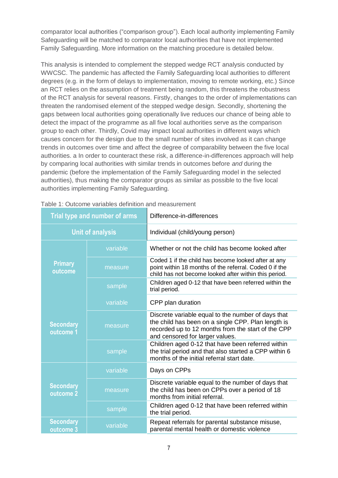comparator local authorities ("comparison group"). Each local authority implementing Family Safeguarding will be matched to comparator local authorities that have not implemented Family Safeguarding. More information on the matching procedure is detailed below.

This analysis is intended to complement the stepped wedge RCT analysis conducted by WWCSC. The pandemic has affected the Family Safeguarding local authorities to different degrees (e.g. in the form of delays to implementation, moving to remote working, etc.) Since an RCT relies on the assumption of treatment being random, this threatens the robustness of the RCT analysis for several reasons. Firstly, changes to the order of implementations can threaten the randomised element of the stepped wedge design. Secondly, shortening the gaps between local authorities going operationally live reduces our chance of being able to detect the impact of the programme as all five local authorities serve as the comparison group to each other. Thirdly, Covid may impact local authorities in different ways which causes concern for the design due to the small number of sites involved as it can change trends in outcomes over time and affect the degree of comparability between the five local authorities. a In order to counteract these risk, a difference-in-differences approach will help by comparing local authorities with similar trends in outcomes before *and* during the pandemic (before the implementation of the Family Safeguarding model in the selected authorities), thus making the comparator groups as similar as possible to the five local authorities implementing Family Safeguarding.

| <b>Trial type and number of arms</b> |          | Difference-in-differences                                                                                                                                                                         |  |
|--------------------------------------|----------|---------------------------------------------------------------------------------------------------------------------------------------------------------------------------------------------------|--|
| <b>Unit of analysis</b>              |          | Individual (child/young person)                                                                                                                                                                   |  |
|                                      | variable | Whether or not the child has become looked after                                                                                                                                                  |  |
| <b>Primary</b><br>outcome            | measure  | Coded 1 if the child has become looked after at any<br>point within 18 months of the referral. Coded 0 if the<br>child has not become looked after within this period.                            |  |
|                                      | sample   | Children aged 0-12 that have been referred within the<br>trial period.                                                                                                                            |  |
|                                      | variable | CPP plan duration                                                                                                                                                                                 |  |
| <b>Secondary</b><br>outcome 1        | measure  | Discrete variable equal to the number of days that<br>the child has been on a single CPP. Plan length is<br>recorded up to 12 months from the start of the CPP<br>and censored for larger values. |  |
|                                      | sample   | Children aged 0-12 that have been referred within<br>the trial period and that also started a CPP within 6<br>months of the initial referral start date.                                          |  |
|                                      | variable | Days on CPPs                                                                                                                                                                                      |  |
| <b>Secondary</b><br>outcome 2        | measure  | Discrete variable equal to the number of days that<br>the child has been on CPPs over a period of 18<br>months from initial referral.                                                             |  |
|                                      | sample   | Children aged 0-12 that have been referred within<br>the trial period.                                                                                                                            |  |
| <b>Secondary</b><br>outcome 3        | variable | Repeat referrals for parental substance misuse,<br>parental mental health or domestic violence                                                                                                    |  |

|  |  |  | Table 1: Outcome variables definition and measurement |
|--|--|--|-------------------------------------------------------|
|  |  |  |                                                       |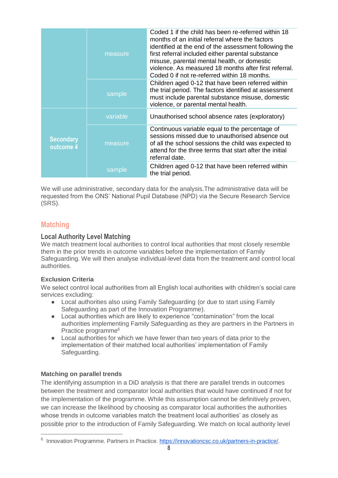|                               | measure  | Coded 1 if the child has been re-referred within 18<br>months of an initial referral where the factors<br>identified at the end of the assessment following the<br>first referral included either parental substance<br>misuse, parental mental health, or domestic<br>violence. As measured 18 months after first referral.<br>Coded 0 if not re-referred within 18 months. |
|-------------------------------|----------|------------------------------------------------------------------------------------------------------------------------------------------------------------------------------------------------------------------------------------------------------------------------------------------------------------------------------------------------------------------------------|
|                               | sample   | Children aged 0-12 that have been referred within<br>the trial period. The factors identified at assessment<br>must include parental substance misuse, domestic<br>violence, or parental mental health.                                                                                                                                                                      |
| <b>Secondary</b><br>outcome 4 | variable | Unauthorised school absence rates (exploratory)                                                                                                                                                                                                                                                                                                                              |
|                               | measure  | Continuous variable equal to the percentage of<br>sessions missed due to unauthorised absence out<br>of all the school sessions the child was expected to<br>attend for the three terms that start after the initial<br>referral date.                                                                                                                                       |
|                               | sample   | Children aged 0-12 that have been referred within<br>the trial period.                                                                                                                                                                                                                                                                                                       |

We will use administrative, secondary data for the analysis.The administrative data will be requested from the ONS' National Pupil Database (NPD) via the Secure Research Service (SRS).

### <span id="page-7-0"></span>**Matching**

#### **Local Authority Level Matching**

We match treatment local authorities to control local authorities that most closely resemble them in the prior trends in outcome variables before the implementation of Family Safeguarding. We will then analyse individual-level data from the treatment and control local authorities.

#### **Exclusion Criteria**

We select control local authorities from all English local authorities with children's social care services excluding:

- Local authorities also using Family Safeguarding (or due to start using Family Safeguarding as part of the Innovation Programme).
- Local authorities which are likely to experience "contamination" from the local authorities implementing Family Safeguarding as they are partners in the Partners in Practice programme<sup>6</sup>
- Local authorities for which we have fewer than two vears of data prior to the implementation of their matched local authorities' implementation of Family Safeguarding.

#### **Matching on parallel trends**

 $\overline{a}$ 

The identifying assumption in a DiD analysis is that there are parallel trends in outcomes between the treatment and comparator local authorities that would have continued if not for the implementation of the programme. While this assumption cannot be definitively proven, we can increase the likelihood by choosing as comparator local authorities the authorities whose trends in outcome variables match the treatment local authorities' as closely as possible prior to the introduction of Family Safeguarding. We match on local authority level

<sup>&</sup>lt;sup>6</sup> Innovation Programme. Partners in Practice. [https://innovationcsc.co.uk/partners-in-practice/.](https://innovationcsc.co.uk/partners-in-practice/)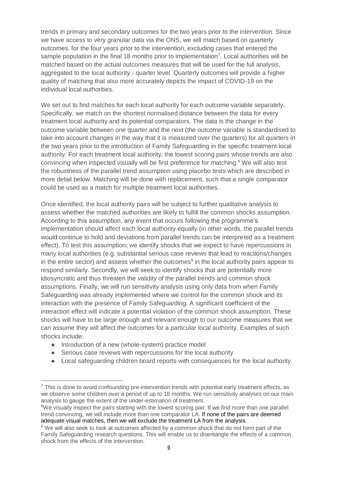trends in primary and secondary outcomes for the two years prior to the intervention. Since we have access to very granular data via the ONS, we will match based on quarterly outcomes. for the four years prior to the intervention, excluding cases that entered the sample population in the final 18 months prior to implementation<sup>7</sup>. Local authorities will be matched based on the actual outcomes measures that will be used for the full analysis, aggregated to the local authority - quarter level. Quarterly outcomes will provide a higher quality of matching that also more accurately depicts the impact of COVID-19 on the individual local authorities.

We set out to find matches for each local authority for each outcome variable separately. Specifically, we match on the shortest normalised distance between the data for every treatment local authority and its potential comparators. The data is the change in the outcome variable between one quarter and the next (the outcome variable is standardised to take into account changes in the way that it is measured over the quarters) for all quarters in the two years prior to the introduction of Family Safeguarding in the specific treatment local authority. For each treatment local authority, the lowest scoring pairs whose trends are also convincing when inspected visually will be first preference for matching.<sup>8</sup> We will also test the robustness of the parallel trend assumption using placebo tests which are described in more detail below. Matching will be done with replacement, such that a single comparator could be used as a match for multiple treatment local authorities.

Once identified, the local authority pairs will be subject to further qualitative analysis to assess whether the matched authorities are likely to fulfill the common shocks assumption. According to this assumption, any event that occurs following the programme's implementation should affect each local authority equally (in other words, the parallel trends would continue to hold and deviations from parallel trends can be interpreted as a treatment effect). To test this assumption, we identify shocks that we expect to have repercussions in many local authorities (e.g. substantial serious case reviews that lead to reactions/changes in the entire sector) and assess whether the outcomes $9$  in the local authority pairs appear to respond similarly. Secondly, we will seek to identify shocks that are potentially more idiosyncratic and thus threaten the validity of the parallel trends and common shock assumptions. Finally, we will run sensitivity analysis using only data from when Family Safeguarding was already implemented where we control for the common shock and its interaction with the presence of Family Safeguarding. A significant coefficient of the interaction effect will indicate a potential violation of the common shock assumption. These shocks will have to be large enough and relevant enough to our outcome measures that we can assume they will affect the outcomes for a particular local authority. Examples of such shocks include:

● Introduction of a new (whole-system) practice model

- Serious case reviews with repercussions for the local authority
- Local safeguarding children board reports with consequences for the local authority.

 $<sup>7</sup>$  This is done to avoid confounding pre-intervention trends with potential early treatment effects, as</sup> we observe some children over a period of up to 18 months. We run sensitivity analyses on our main analysis to gauge the extent of the under-estimation of treatment.

<sup>&</sup>lt;sup>8</sup>We visually inspect the pairs starting with the lowest scoring pair. If we find more than one parallel trend convincing, we will include more than one comparator LA. If none of the pairs are deemed adequate visual matches, then we will exclude the treatment LA from the analysis.

<sup>&</sup>lt;sup>9</sup> We will also seek to look at outcomes affected by a common shock that do not form part of the Family Safeguarding research questions. This will enable us to disentangle the effects of a common shock from the effects of the intervention.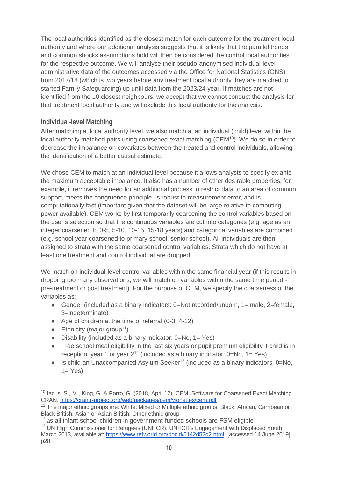The local authorities identified as the closest match for each outcome for the treatment local authority and where our additional analysis suggests that it is likely that the parallel trends and common shocks assumptions hold will then be considered the control local authorities for the respective outcome. We will analyse their pseudo-anonymised individual-level administrative data of the outcomes accessed via the Office for National Statistics (ONS) from 2017/18 (which is two years before any treatment local authority they are matched to started Family Safeguarding) up until data from the 2023/24 year. If matches are not identified from the 10 closest neighbours, we accept that we cannot conduct the analysis for that treatment local authority and will exclude this local authority for the analysis.

#### **Individual-level Matching**

After matching at local authority level, we also match at an individual (child) level within the local authority matched pairs using coarsened exact matching (CEM<sup>10</sup>). We do so in order to decrease the imbalance on covariates between the treated and control individuals, allowing the identification of a better causal estimate.

We chose CEM to match at an individual level because it allows analysts to specify ex ante the maximum acceptable imbalance. It also has a number of other desirable properties, for example, it removes the need for an additional process to restrict data to an area of common support, meets the congruence principle, is robust to measurement error, and is computationally fast (important given that the dataset will be large relative to computing power available). CEM works by first temporarily coarsening the control variables based on the user's selection so that the continuous variables are cut into categories (e.g. age as an integer coarsened to 0-5, 5-10, 10-15, 15-18 years) and categorical variables are combined (e.g. school year coarsened to primary school, senior school). All individuals are then assigned to strata with the same coarsened control variables. Strata which do not have at least one treatment and control individual are dropped.

We match on individual-level control variables within the same financial year (if this results in dropping too many observations, we will match on variables within the same time period pre-treatment or post treatment). For the purpose of CEM, we specify the coarseness of the variables as:

- Gender (included as a binary indicators: 0=Not recorded/unborn, 1= male, 2=female, 3=indeterminate)
- Age of children at the time of referral (0-3, 4-12)
- $\bullet$  Ethnicity (major group<sup>11</sup>)

- $\bullet$  Disability (included as a binary indicator: 0=No, 1= Yes)
- Free school meal eligibility in the last six years or pupil premium eligibility if child is in reception, year 1 or year  $2^{12}$  (included as a binary indicator:  $0=No$ ,  $1=Yes$ )
- Is child an Unaccompanied Asylum Seeker<sup>13</sup> (included as a binary indicators, 0=No,  $1=$  Yes)

<sup>&</sup>lt;sup>10</sup> Iacus, S., M., King, G. & Porro, G. (2018, April 12). CEM: Software for Coarsened Exact Matching. CRAN.<https://cran.r-project.org/web/packages/cem/vignettes/cem.pdf>

<sup>&</sup>lt;sup>11</sup> The major ethnic groups are: White; Mixed or Multiple ethnic groups; Black, African, Carribean or Black British; Asian or Asian British; Other ethnic group

 $12$  as all infant school children in government-funded schools are FSM eligible

<sup>&</sup>lt;sup>13</sup> UN High Commissioner for Refugees (UNHCR), UNHCR's Engagement with Displaced Youth, March 2013, available at:<https://www.refworld.org/docid/5142d52d2.html>[accessed 14 June 2019] p28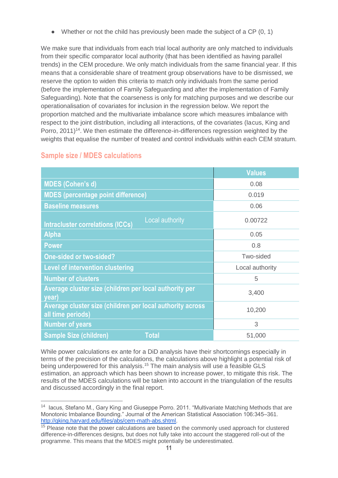$\bullet$  Whether or not the child has previously been made the subject of a CP  $(0, 1)$ 

We make sure that individuals from each trial local authority are only matched to individuals from their specific comparator local authority (that has been identified as having parallel trends) in the CEM procedure. We only match individuals from the same financial year. If this means that a considerable share of treatment group observations have to be dismissed, we reserve the option to widen this criteria to match only individuals from the same period (before the implementation of Family Safeguarding and after the implementation of Family Safeguarding). Note that the coarseness is only for matching purposes and we describe our operationalisation of covariates for inclusion in the regression below. We report the proportion matched and the multivariate imbalance score which measures imbalance with respect to the joint distribution, including all interactions, of the covariates (Iacus, King and Porro, 2011)<sup>14</sup>. We then estimate the difference-in-differences regression weighted by the weights that equalise the number of treated and control individuals within each CEM stratum.

|                                                                                | <b>Values</b>   |
|--------------------------------------------------------------------------------|-----------------|
| <b>MDES (Cohen's d)</b>                                                        | 0.08            |
| <b>MDES (percentage point difference)</b>                                      | 0.019           |
| <b>Baseline measures</b>                                                       | 0.06            |
| Local authority<br><b>Intracluster correlations (ICCs)</b>                     | 0.00722         |
| <b>Alpha</b>                                                                   | 0.05            |
| <b>Power</b>                                                                   | 0.8             |
| <b>One-sided or two-sided?</b>                                                 | Two-sided       |
| <b>Level of intervention clustering</b>                                        | Local authority |
| <b>Number of clusters</b>                                                      | 5               |
| Average cluster size (children per local authority per<br>year)                | 3,400           |
| Average cluster size (children per local authority across<br>all time periods) | 10,200          |
| <b>Number of years</b>                                                         | 3               |
| <b>Total</b><br><b>Sample Size (children)</b>                                  | 51,000          |

## <span id="page-10-0"></span>**Sample size / MDES calculations**

 $\overline{a}$ 

While power calculations ex ante for a DiD analysis have their shortcomings especially in terms of the precision of the calculations, the calculations above highlight a potential risk of being underpowered for this analysis.<sup>15</sup> The main analysis will use a feasible GLS estimation, an approach which has been shown to increase power, to mitigate this risk. The results of the MDES calculations will be taken into account in the triangulation of the results and discussed accordingly in the final report.

<sup>&</sup>lt;sup>14</sup> Iacus, Stefano M., Gary King and Giuseppe Porro. 2011. "Multivariate Matching Methods that are Monotonic Imbalance Bounding." Journal of the American Statistical Association 106:345–361. [http://gking.harvard.edu/files/abs/cem-math-abs.shtml.](http://gking.harvard.edu/files/abs/cem-math-abs.shtml)

<sup>&</sup>lt;sup>15</sup> Please note that the power calculations are based on the commonly used approach for clustered difference-in-differences designs, but does not fully take into account the staggered roll-out of the programme. This means that the MDES might potentially be underestimated.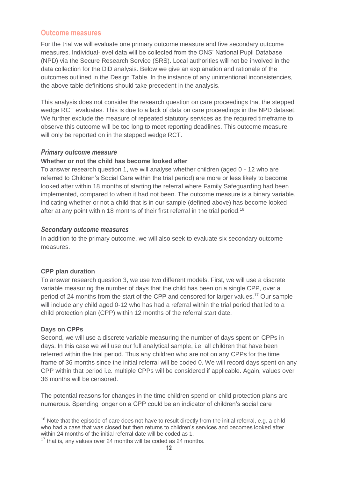### <span id="page-11-0"></span>**Outcome measures**

For the trial we will evaluate one primary outcome measure and five secondary outcome measures. Individual-level data will be collected from the ONS' National Pupil Database (NPD) via the Secure Research Service (SRS). Local authorities will not be involved in the data collection for the DiD analysis. Below we give an explanation and rationale of the outcomes outlined in the Design Table. In the instance of any unintentional inconsistencies, the above table definitions should take precedent in the analysis.

This analysis does not consider the research question on care proceedings that the stepped wedge RCT evaluates. This is due to a lack of data on care proceedings in the NPD dataset. We further exclude the measure of repeated statutory services as the required timeframe to observe this outcome will be too long to meet reporting deadlines. This outcome measure will only be reported on in the stepped wedge RCT.

#### <span id="page-11-1"></span>*Primary outcome measure*

#### **Whether or not the child has become looked after**

To answer research question 1, we will analyse whether children (aged 0 - 12 who are referred to Children's Social Care within the trial period) are more or less likely to become looked after within 18 months of starting the referral where Family Safeguarding had been implemented, compared to when it had not been. The outcome measure is a binary variable, indicating whether or not a child that is in our sample (defined above) has become looked after at any point within 18 months of their first referral in the trial period.<sup>16</sup>

#### <span id="page-11-2"></span>*Secondary outcome measures*

In addition to the primary outcome, we will also seek to evaluate six secondary outcome measures.

#### **CPP plan duration**

To answer research question 3, we use two different models. First, we will use a discrete variable measuring the number of days that the child has been on a single CPP, over a period of 24 months from the start of the CPP and censored for larger values.<sup>17</sup> Our sample will include any child aged 0-12 who has had a referral within the trial period that led to a child protection plan (CPP) within 12 months of the referral start date.

#### **Days on CPPs**

 $\overline{a}$ 

Second, we will use a discrete variable measuring the number of days spent on CPPs in days. In this case we will use our full analytical sample, i.e. all children that have been referred within the trial period. Thus any children who are not on any CPPs for the time frame of 36 months since the initial referral will be coded 0. We will record days spent on any CPP within that period i.e. multiple CPPs will be considered if applicable. Again, values over 36 months will be censored.

The potential reasons for changes in the time children spend on child protection plans are numerous. Spending longer on a CPP could be an indicator of children's social care

 $16$  Note that the episode of care does not have to result directly from the initial referral, e.g. a child who had a case that was closed but then returns to children's services and becomes looked after within 24 months of the initial referral date will be coded as 1.

<sup>&</sup>lt;sup>17</sup> that is, any values over 24 months will be coded as 24 months.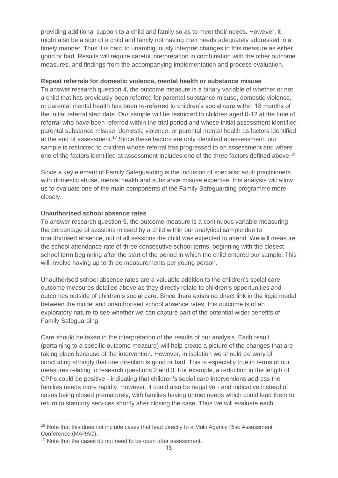providing additional support to a child and family so as to meet their needs. However, it might also be a sign of a child and family not having their needs adequately addressed in a timely manner. Thus it is hard to unambiguously interpret changes in this measure as either good or bad. Results will require careful interpretation in combination with the other outcome measures, and findings from the accompanying implementation and process evaluation.

#### **Repeat referrals for domestic violence, mental health or substance misuse**

To answer research question 4, the outcome measure is a binary variable of whether or not a child that has previously been referred for parental substance misuse, domestic violence, or parental mental health has been re-referred to children's social care within 18 months of the initial referral start date. Our sample will be restricted to children aged 0-12 at the time of referral who have been referred within the trial period and whose initial assessment identified parental substance misuse, domestic violence, or parental mental health as factors identified at the end of assessment.<sup>18</sup> Since these factors are only identified at assessment, our sample is restricted to children whose referral has progressed to an assessment and where one of the factors identified at assessment includes one of the three factors defined above.<sup>19</sup>

Since a key element of Family Safeguarding is the inclusion of specialist adult practitioners with domestic abuse, mental health and substance misuse expertise, this analysis will allow us to evaluate one of the main components of the Family Safeguarding programme more closely.

#### **Unauthorised school absence rates**

To answer research question 5, the outcome measure is a continuous variable measuring the percentage of sessions missed by a child within our analytical sample due to unauthorised absence, out of all sessions the child was expected to attend. We will measure the school attendance rate of three consecutive school terms, beginning with the closest school term beginning after the start of the period in which the child entered our sample. This will involve having up to three measurements per young person.

Unauthorised school absence rates are a valuable addition to the children's social care outcome measures detailed above as they directly relate to children's opportunities and outcomes outside of children's social care. Since there exists no direct link in the logic model between the model and unauthorised school absence rates, this outcome is of an exploratory nature to see whether we can capture part of the potential wider benefits of Family Safeguarding.

Care should be taken in the interpretation of the results of our analysis. Each result (pertaining to a specific outcome measure) will help create a picture of the changes that are taking place because of the intervention. However, in isolation we should be wary of concluding strongly that one direction is good or bad. This is especially true in terms of our measures relating to research questions 2 and 3. For example, a reduction in the length of CPPs could be positive - indicating that children's social care interventions address the families needs more rapidly. However, it could also be negative - and indicative instead of cases being closed prematurely, with families having unmet needs which could lead them to return to statutory services shortly after closing the case. Thus we will evaluate each

<sup>&</sup>lt;sup>18</sup> Note that this does not include cases that lead directly to a Multi Agency Risk Assessment Conference (MARAC).

<sup>&</sup>lt;sup>19</sup> Note that the cases do not need to be open after assessment.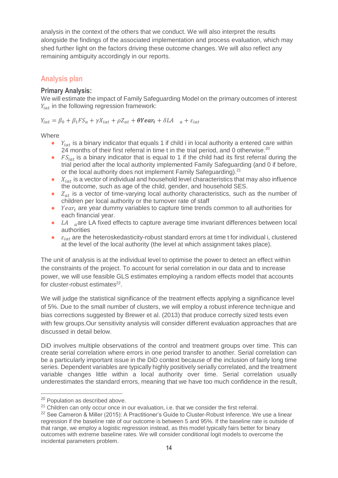analysis in the context of the others that we conduct. We will also interpret the results alongside the findings of the associated implementation and process evaluation, which may shed further light on the factors driving these outcome changes. We will also reflect any remaining ambiguity accordingly in our reports.

## <span id="page-13-0"></span>**Analysis plan**

#### **Primary Analysis:**

We will estimate the impact of Family Safeguarding Model on the primary outcomes of interest  $Y_{i}$  in the following regression framework:

 $Y_{iat} = \beta_0 + \beta_1 FS_a + \gamma X_{iat} + \rho Z_{at} + \theta Year_t + \delta LA_{a} + \varepsilon_{iat}$ 

**Where** 

- $\bullet$   $Y_{iat}$  is a binary indicator that equals 1 if child i in local authority a entered care within 24 months of their first referral in time t in the trial period, and 0 otherwise.<sup>20</sup>
- $\bullet$   $FS_{int}$  is a binary indicator that is equal to 1 if the child had its first referral during the trial period after the local authority implemented Family Safeguarding (and 0 if before, or the local authority does not implement Family Safeguarding).<sup>21</sup>
- $\bullet$   $X_{int}$  is a vector of individual and household level characteristics that may also influence the outcome, such as age of the child, gender, and household SES.
- $\bullet$   $Z_{at}$  is a vector of time-varying local authority characteristics, such as the number of children per local authority or the turnover rate of staff
- $\bullet$  Year, are year dummy variables to capture time trends common to all authorities for each financial year.
- $\bullet$  LA  $\alpha$  are LA fixed effects to capture average time invariant differences between local authorities
- $\bullet$   $\varepsilon_{i}$  are the heteroskedasticity-robust standard errors at time t for individual i, clustered at the level of the local authority (the level at which assignment takes place).

The unit of analysis is at the individual level to optimise the power to detect an effect within the constraints of the project. To account for serial correlation in our data and to increase power, we will use feasible GLS estimates employing a random effects model that accounts for cluster-robust estimates<sup>22</sup>.

We will judge the statistical significance of the treatment effects applying a significance level of 5%. Due to the small number of clusters, we will employ a robust inference technique and bias corrections suggested by Brewer et al. (2013) that produce correctly sized tests even with few groups.Our sensitivity analysis will consider different evaluation approaches that are discussed in detail below.

DiD involves multiple observations of the control and treatment groups over time. This can create serial correlation where errors in one period transfer to another. Serial correlation can be a particularly important issue in the DiD context because of the inclusion of fairly long time series. Dependent variables are typically highly positively serially correlated, and the treatment variable changes little within a local authority over time. Serial correlation usually underestimates the standard errors, meaning that we have too much confidence in the result,

<sup>&</sup>lt;sup>20</sup> Population as described above.

<sup>&</sup>lt;sup>21</sup> Children can only occur once in our evaluation, i.e. that we consider the first referral.

 $22$  See Cameron & Miller (2015): A Practitioner's Guide to Cluster-Robust Inference. We use a linear regression if the baseline rate of our outcome is between 5 and 95%. If the baseline rate is outside of that range, we employ a logistic regression instead, as this model typically fairs better for binary outcomes with extreme baseline rates. We will consider conditional logit models to overcome the incidental parameters problem.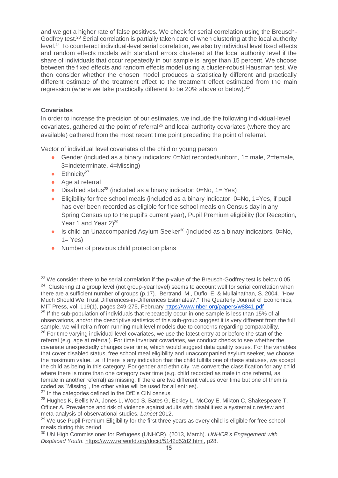and we get a higher rate of false positives. We check for serial correlation using the Breusch-Godfrey test.<sup>23</sup> Serial correlation is partially taken care of when clustering at the local authority level.<sup>24</sup> To counteract individual-level serial correlation, we also try individual level fixed effects and random effects models with standard errors clustered at the local authority level if the share of individuals that occur repeatedly in our sample is larger than 15 percent. We choose between the fixed effects and random effects model using a cluster-robust Hausman test. We then consider whether the chosen model produces a statistically different and practically different estimate of the treatment effect to the treatment effect estimated from the main regression (where we take practically different to be 20% above or below).<sup>25</sup>

#### **Covariates**

 $\overline{a}$ 

In order to increase the precision of our estimates, we include the following individual-level covariates, gathered at the point of referral<sup>26</sup> and local authority covariates (where they are available) gathered from the most recent time point preceding the point of referral.

Vector of individual level covariates of the child or young person

- Gender (included as a binary indicators:  $0=$ Not recorded/unborn,  $1=$  male,  $2=$ female, 3=indeterminate, 4=Missing)
- $\bullet$  Ethnicity<sup>27</sup>
- Age at referral
- Disabled status<sup>28</sup> (included as a binary indicator:  $0=No$ ,  $1=Yes$ )
- Eligibility for free school meals (included as a binary indicator: 0=No, 1=Yes, if pupil has ever been recorded as eligible for free school meals on Census day in any Spring Census up to the pupil's current year), Pupil Premium eligibility (for Reception, Year 1 and Year  $2^{29}$
- $\bullet$  Is child an Unaccompanied Asylum Seeker<sup>30</sup> (included as a binary indicators, 0=No,  $1=$  Yes)
- Number of previous child protection plans

<sup>&</sup>lt;sup>23</sup> We consider there to be serial correlation if the p-value of the Breusch-Godfrey test is below 0.05. <sup>24</sup> Clustering at a group level (not group-year level) seems to account well for serial correlation when there are a sufficient number of groups (p.17). Bertrand, M., Duflo, E. & Mullainathan, S. 2004. "How Much Should We Trust Differences-in-Differences Estimates?," The Quarterly Journal of Economics, MIT Press, vol. 119(1), pages 249-275, February <https://www.nber.org/papers/w8841.pdf>

<sup>&</sup>lt;sup>25</sup> If the sub-population of individuals that repeatedly occur in one sample is less than 15% of all observations, and/or the descriptive statistics of this sub-group suggest it is very different from the full sample, we will refrain from running multilevel models due to concerns regarding comparability. <sup>26</sup> For time varying individual-level covariates, we use the latest entry at or before the start of the referral (e.g. age at referral). For time invariant covariates, we conduct checks to see whether the covariate unexpectedly changes over time, which would suggest data quality issues. For the variables that cover disabled status, free school meal eligibility and unaccompanied asylum seeker, we choose the maximum value, i.e. if there is any indication that the child fulfills one of these statuses, we accept the child as being in this category. For gender and ethnicity, we convert the classification for any child where there is more than one category over time (e.g. child recorded as male in one referral, as female in another referral) as missing. If there are two different values over time but one of them is coded as "Missing", the other value will be used for all entries).

<sup>&</sup>lt;sup>27</sup> In the categories defined in the DfE's CIN census.

<sup>&</sup>lt;sup>28</sup> Hughes K, Bellis MA, Jones L, Wood S, Bates G, Eckley L, McCoy E, Mikton C, Shakespeare T, Officer A. Prevalence and risk of violence against adults with disabilities: a systematic review and meta-analysis of observational studies. *Lancet* 2012.

<sup>&</sup>lt;sup>29</sup> We use Pupil Premium Eligibility for the first three years as every child is eligible for free school meals during this period.

<sup>30</sup> UN High Commissioner for Refugees (UNHCR). (2013, March). *UNHCR's Engagement with Displaced Youth*. [https://www.refworld.org/docid/5142d52d2.html,](https://www.refworld.org/docid/5142d52d2.html) p28.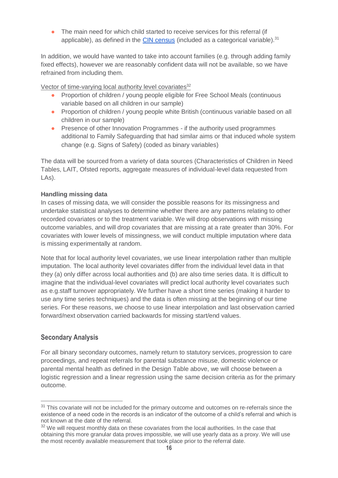• The main need for which child started to receive services for this referral (if applicable), as defined in the [CIN census](https://assets.publishing.service.gov.uk/government/uploads/system/uploads/attachment_data/file/744185/CIN18-19_Guide_v1.2.pdf) (included as a categorical variable). $31$ 

In addition, we would have wanted to take into account families (e.g. through adding family fixed effects), however we are reasonably confident data will not be available, so we have refrained from including them.

Vector of time-varying local authority level covariates<sup>32</sup>

- Proportion of children / young people eligible for Free School Meals (continuous variable based on all children in our sample)
- Proportion of children / young people white British (continuous variable based on all children in our sample)
- Presence of other Innovation Programmes if the authority used programmes additional to Family Safeguarding that had similar aims or that induced whole system change (e.g. Signs of Safety) (coded as binary variables)

The data will be sourced from a variety of data sources (Characteristics of Children in Need Tables, LAIT, Ofsted reports, aggregate measures of individual-level data requested from LAs).

#### **Handling missing data**

In cases of missing data, we will consider the possible reasons for its missingness and undertake statistical analyses to determine whether there are any patterns relating to other recorded covariates or to the treatment variable. We will drop observations with missing outcome variables, and will drop covariates that are missing at a rate greater than 30%. For covariates with lower levels of missingness, we will conduct multiple imputation where data is missing experimentally at random.

Note that for local authority level covariates, we use linear interpolation rather than multiple imputation. The local authority level covariates differ from the individual level data in that they (a) only differ across local authorities and (b) are also time series data. It is difficult to imagine that the individual-level covariates will predict local authority level covariates such as e.g.staff turnover appropriately. We further have a short time series (making it harder to use any time series techniques) and the data is often missing at the beginning of our time series. For these reasons, we choose to use linear interpolation and last observation carried forward/next observation carried backwards for missing start/end values.

#### **Secondary Analysis**

 $\overline{a}$ 

For all binary secondary outcomes, namely return to statutory services, progression to care proceedings, and repeat referrals for parental substance misuse, domestic violence or parental mental health as defined in the Design Table above, we will choose between a logistic regression and a linear regression using the same decision criteria as for the primary outcome.

<sup>&</sup>lt;sup>31</sup> This covariate will not be included for the primary outcome and outcomes on re-referrals since the existence of a need code in the records is an indicator of the outcome of a child's referral and which is not known at the date of the referral.

 $32$  We will request monthly data on these covariates from the local authorities. In the case that obtaining this more granular data proves impossible, we will use yearly data as a proxy. We will use the most recently available measurement that took place prior to the referral date.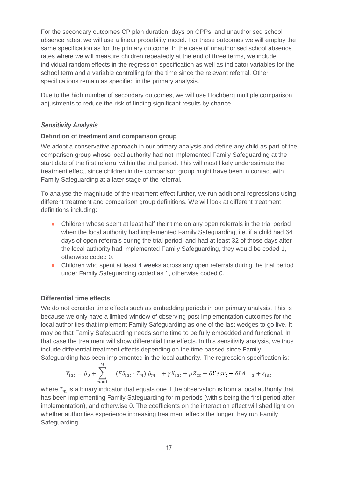For the secondary outcomes CP plan duration, days on CPPs, and unauthorised school absence rates, we will use a linear probability model. For these outcomes we will employ the same specification as for the primary outcome. In the case of unauthorised school absence rates where we will measure children repeatedly at the end of three terms, we include individual random effects in the regression specification as well as indicator variables for the school term and a variable controlling for the time since the relevant referral. Other specifications remain as specified in the primary analysis.

Due to the high number of secondary outcomes, we will use Hochberg multiple comparison adjustments to reduce the risk of finding significant results by chance.

#### <span id="page-16-0"></span>*Sensitivity Analysis*

#### **Definition of treatment and comparison group**

We adopt a conservative approach in our primary analysis and define any child as part of the comparison group whose local authority had not implemented Family Safeguarding at the start date of the first referral within the trial period. This will most likely underestimate the treatment effect, since children in the comparison group might have been in contact with Family Safeguarding at a later stage of the referral.

To analyse the magnitude of the treatment effect further, we run additional regressions using different treatment and comparison group definitions. We will look at different treatment definitions including:

- Children whose spent at least half their time on any open referrals in the trial period when the local authority had implemented Family Safeguarding, i.e. if a child had 64 days of open referrals during the trial period, and had at least 32 of those days after the local authority had implemented Family Safeguarding, they would be coded 1, otherwise coded 0.
- Children who spent at least 4 weeks across any open referrals during the trial period under Family Safeguarding coded as 1, otherwise coded 0.

#### **Differential time effects**

We do not consider time effects such as embedding periods in our primary analysis. This is because we only have a limited window of observing post implementation outcomes for the local authorities that implement Family Safeguarding as one of the last wedges to go live. It may be that Family Safeguarding needs some time to be fully embedded and functional. In that case the treatment will show differential time effects. In this sensitivity analysis, we thus include differential treatment effects depending on the time passed since Family Safeguarding has been implemented in the local authority. The regression specification is:

$$
Equating has been implemented in the local authority. The regression spectrum of the current function is given by the equation 
$$
M
$$
$$

$$
Y_{iat} = \beta_0 + \sum_{m=1} (FS_{iat} \cdot T_m) \beta_m + \gamma X_{iat} + \rho Z_{at} + \theta Year_t + \delta LA \quad a + \varepsilon_{iat}
$$

where  $T_m$  is a binary indicator that equals one if the observation is from a local authority that has been implementing Family Safeguarding for m periods (with s being the first period after implementation), and otherwise 0. The coefficients on the interaction effect will shed light on whether authorities experience increasing treatment effects the longer they run Family Safeguarding.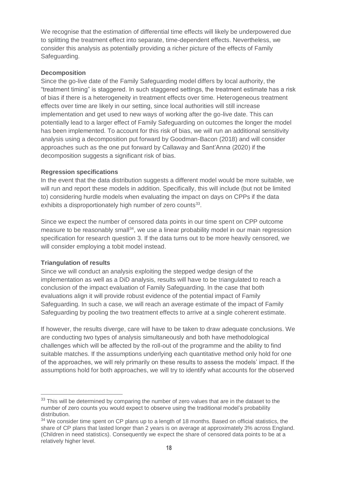We recognise that the estimation of differential time effects will likely be underpowered due to splitting the treatment effect into separate, time-dependent effects. Nevertheless, we consider this analysis as potentially providing a richer picture of the effects of Family Safeguarding.

#### **Decomposition**

Since the go-live date of the Family Safeguarding model differs by local authority, the "treatment timing" is staggered. In such staggered settings, the treatment estimate has a risk of bias if there is a heterogeneity in treatment effects over time. Heterogeneous treatment effects over time are likely in our setting, since local authorities will still increase implementation and get used to new ways of working after the go-live date. This can potentially lead to a larger effect of Family Safeguarding on outcomes the longer the model has been implemented. To account for this risk of bias, we will run an additional sensitivity analysis using a decomposition put forward by Goodman-Bacon (2018) and will consider approaches such as the one put forward by Callaway and Sant'Anna (2020) if the decomposition suggests a significant risk of bias.

#### **Regression specifications**

In the event that the data distribution suggests a different model would be more suitable, we will run and report these models in addition. Specifically, this will include (but not be limited to) considering hurdle models when evaluating the impact on days on CPPs if the data exhibits a disproportionately high number of zero counts $33$ .

Since we expect the number of censored data points in our time spent on CPP outcome measure to be reasonably small<sup>34</sup>, we use a linear probability model in our main regression specification for research question 3. If the data turns out to be more heavily censored, we will consider employing a tobit model instead.

#### **Triangulation of results**

 $\overline{a}$ 

Since we will conduct an analysis exploiting the stepped wedge design of the implementation as well as a DiD analysis, results will have to be triangulated to reach a conclusion of the impact evaluation of Family Safeguarding. In the case that both evaluations align it will provide robust evidence of the potential impact of Family Safeguarding. In such a case, we will reach an average estimate of the impact of Family Safeguarding by pooling the two treatment effects to arrive at a single coherent estimate.

If however, the results diverge, care will have to be taken to draw adequate conclusions. We are conducting two types of analysis simultaneously and both have methodological challenges which will be affected by the roll-out of the programme and the ability to find suitable matches. If the assumptions underlying each quantitative method only hold for one of the approaches, we will rely primarily on these results to assess the models' impact. If the assumptions hold for both approaches, we will try to identify what accounts for the observed

<sup>&</sup>lt;sup>33</sup> This will be determined by comparing the number of zero values that are in the dataset to the number of zero counts you would expect to observe using the traditional model's probability distribution.

<sup>&</sup>lt;sup>34</sup> We consider time spent on CP plans up to a length of 18 months. Based on official statistics, the share of CP plans that lasted longer than 2 years is on average at approximately 3% across England. (Children in need statistics). Consequently we expect the share of censored data points to be at a relatively higher level.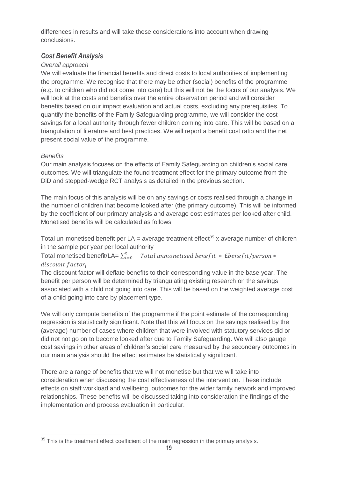differences in results and will take these considerations into account when drawing conclusions.

### <span id="page-18-0"></span>*Cost Benefit Analysis*

#### *Overall approach*

We will evaluate the financial benefits and direct costs to local authorities of implementing the programme. We recognise that there may be other (social) benefits of the programme (e.g. to children who did not come into care) but this will not be the focus of our analysis. We will look at the costs and benefits over the entire observation period and will consider benefits based on our impact evaluation and actual costs, excluding any prerequisites. To quantify the benefits of the Family Safeguarding programme, we will consider the cost savings for a local authority through fewer children coming into care. This will be based on a triangulation of literature and best practices. We will report a benefit cost ratio and the net present social value of the programme.

#### *Benefits*

 $\overline{a}$ 

Our main analysis focuses on the effects of Family Safeguarding on children's social care outcomes. We will triangulate the found treatment effect for the primary outcome from the DiD and stepped-wedge RCT analysis as detailed in the previous section.

The main focus of this analysis will be on any savings or costs realised through a change in the number of children that become looked after (the primary outcome). This will be informed by the coefficient of our primary analysis and average cost estimates per looked after child. Monetised benefits will be calculated as follows:

Total un-monetised benefit per  $LA = average$  treatment effect<sup>35</sup> x average number of children in the sample per year per local authority

Total monetised benefit/LA=  $\sum_{i=0}^5 \quad Total \ unmonetised \ benefit \ * \ Ebenefit/person \ *$ discount factor;

The discount factor will deflate benefits to their corresponding value in the base year. The benefit per person will be determined by triangulating existing research on the savings associated with a child not going into care. This will be based on the weighted average cost of a child going into care by placement type.

We will only compute benefits of the programme if the point estimate of the corresponding regression is statistically significant. Note that this will focus on the savings realised by the (average) number of cases where children that were involved with statutory services did or did not not go on to become looked after due to Family Safeguarding. We will also gauge cost savings in other areas of children's social care measured by the secondary outcomes in our main analysis should the effect estimates be statistically significant.

There are a range of benefits that we will not monetise but that we will take into consideration when discussing the cost effectiveness of the intervention. These include effects on staff workload and wellbeing, outcomes for the wider family network and improved relationships. These benefits will be discussed taking into consideration the findings of the implementation and process evaluation in particular.

<sup>&</sup>lt;sup>35</sup> This is the treatment effect coefficient of the main regression in the primary analysis.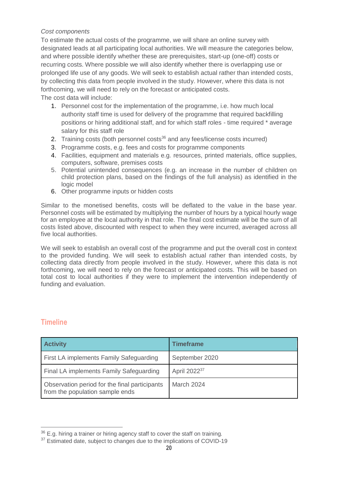#### *Cost components*

To estimate the actual costs of the programme, we will share an online survey with designated leads at all participating local authorities. We will measure the categories below, and where possible identify whether these are prerequisites, start-up (one-off) costs or recurring costs. Where possible we will also identify whether there is overlapping use or prolonged life use of any goods. We will seek to establish actual rather than intended costs, by collecting this data from people involved in the study. However, where this data is not forthcoming, we will need to rely on the forecast or anticipated costs. The cost data will include:

- 1. Personnel cost for the implementation of the programme, i.e. how much local authority staff time is used for delivery of the programme that required backfilling positions or hiring additional staff, and for which staff roles - time required \* average salary for this staff role
- 2. Training costs (both personnel costs<sup>36</sup> and any fees/license costs incurred)
- 3. Programme costs, e.g. fees and costs for programme components
- 4. Facilities, equipment and materials e.g. resources, printed materials, office supplies, computers, software, premises costs
- 5. Potential unintended consequences (e.g. an increase in the number of children on child protection plans, based on the findings of the full analysis) as identified in the logic model
- 6. Other programme inputs or hidden costs

Similar to the monetised benefits, costs will be deflated to the value in the base year. Personnel costs will be estimated by multiplying the number of hours by a typical hourly wage for an employee at the local authority in that role. The final cost estimate will be the sum of all costs listed above, discounted with respect to when they were incurred, averaged across all five local authorities.

We will seek to establish an overall cost of the programme and put the overall cost in context to the provided funding. We will seek to establish actual rather than intended costs, by collecting data directly from people involved in the study. However, where this data is not forthcoming, we will need to rely on the forecast or anticipated costs. This will be based on total cost to local authorities if they were to implement the intervention independently of funding and evaluation.

## <span id="page-19-0"></span>**Timeline**

| <b>Activity</b>                                                                  | <b>Timeframe</b>         |
|----------------------------------------------------------------------------------|--------------------------|
| First LA implements Family Safeguarding                                          | September 2020           |
| Final LA implements Family Safeguarding                                          | April 2022 <sup>37</sup> |
| Observation period for the final participants<br>from the population sample ends | March 2024               |

 $36$  E.g. hiring a trainer or hiring agency staff to cover the staff on training.

<sup>&</sup>lt;sup>37</sup> Estimated date, subject to changes due to the implications of COVID-19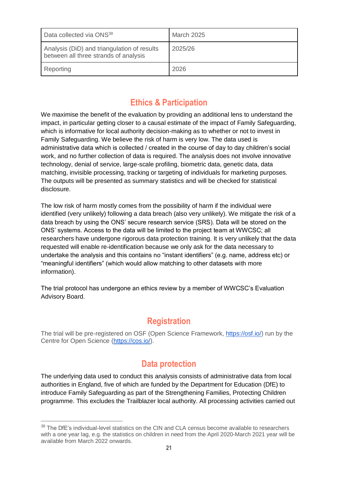| Data collected via ONS <sup>38</sup>                                                 | <b>March 2025</b> |
|--------------------------------------------------------------------------------------|-------------------|
| Analysis (DiD) and triangulation of results<br>between all three strands of analysis | 2025/26           |
| Reporting                                                                            | 2026              |

# **Ethics & Participation**

<span id="page-20-0"></span>We maximise the benefit of the evaluation by providing an additional lens to understand the impact, in particular getting closer to a causal estimate of the impact of Family Safeguarding, which is informative for local authority decision-making as to whether or not to invest in Family Safeguarding. We believe the risk of harm is very low. The data used is administrative data which is collected / created in the course of day to day children's social work, and no further collection of data is required. The analysis does not involve innovative technology, denial of service, large-scale profiling, biometric data, genetic data, data matching, invisible processing, tracking or targeting of individuals for marketing purposes. The outputs will be presented as summary statistics and will be checked for statistical disclosure.

The low risk of harm mostly comes from the possibility of harm if the individual were identified (very unlikely) following a data breach (also very unlikely). We mitigate the risk of a data breach by using the ONS' secure research service (SRS). Data will be stored on the ONS' systems. Access to the data will be limited to the project team at WWCSC; all researchers have undergone rigorous data protection training. It is very unlikely that the data requested will enable re-identification because we only ask for the data necessary to undertake the analysis and this contains no "instant identifiers" (e.g. name, address etc) or "meaningful identifiers" (which would allow matching to other datasets with more information).

The trial protocol has undergone an ethics review by a member of WWCSC's Evaluation Advisory Board.

## **Registration**

<span id="page-20-1"></span>The trial will be pre-registered on OSF (Open Science Framework, [https://osf.io/\)](https://osf.io/) run by the Centre for Open Science [\(https://cos.io/\)](https://cos.io/).

# **Data protection**

<span id="page-20-2"></span>The underlying data used to conduct this analysis consists of administrative data from local authorities in England, five of which are funded by the Department for Education (DfE) to introduce Family Safeguarding as part of the Strengthening Families, Protecting Children programme. This excludes the Trailblazer local authority. All processing activities carried out

<sup>&</sup>lt;sup>38</sup> The DfE's individual-level statistics on the CIN and CLA census become available to researchers with a one year lag, e.g. the statistics on children in need from the April 2020-March 2021 year will be available from March 2022 onwards.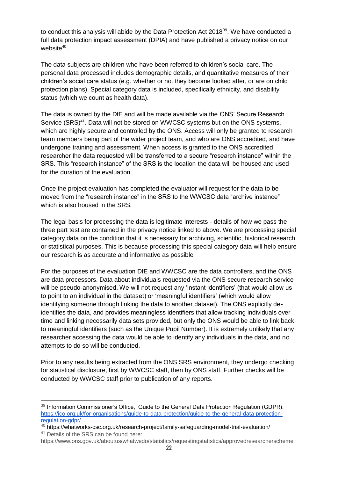to conduct this analysis will abide by the Data Protection Act 2018<sup>39</sup>. We have conducted a full data protection impact assessment (DPIA) and have published a privacy notice on our website<sup>40</sup>.

The data subjects are children who have been referred to children's social care. The personal data processed includes demographic details, and quantitative measures of their children's social care status (e.g. whether or not they become looked after, or are on child protection plans). Special category data is included, specifically ethnicity, and disability status (which we count as health data).

The data is owned by the DfE and will be made available via the ONS' Secure Research Service (SRS)<sup>41</sup>. Data will not be stored on WWCSC systems but on the ONS systems, which are highly secure and controlled by the ONS. Access will only be granted to research team members being part of the wider project team, and who are ONS accredited, and have undergone training and assessment. When access is granted to the ONS accredited researcher the data requested will be transferred to a secure "research instance" within the SRS. This "research instance" of the SRS is the location the data will be housed and used for the duration of the evaluation.

Once the project evaluation has completed the evaluator will request for the data to be moved from the "research instance" in the SRS to the WWCSC data "archive instance" which is also housed in the SRS.

The legal basis for processing the data is legitimate interests - details of how we pass the three part test are contained in the privacy notice linked to above. We are processing special category data on the condition that it is necessary for archiving, scientific, historical research or statistical purposes. This is because processing this special category data will help ensure our research is as accurate and informative as possible

For the purposes of the evaluation DfE and WWCSC are the data controllers, and the ONS are data processors. Data about individuals requested via the ONS secure research service will be pseudo-anonymised. We will not request any 'instant identifiers' (that would allow us to point to an individual in the dataset) or 'meaningful identifiers' (which would allow identifying someone through linking the data to another dataset). The ONS explicitly deidentifies the data, and provides meaningless identifiers that allow tracking individuals over time and linking necessarily data sets provided, but only the ONS would be able to link back to meaningful identifiers (such as the Unique Pupil Number). It is extremely unlikely that any researcher accessing the data would be able to identify any individuals in the data, and no attempts to do so will be conducted.

Prior to any results being extracted from the ONS SRS environment, they undergo checking for statistical disclosure, first by WWCSC staff, then by ONS staff. Further checks will be conducted by WWCSC staff prior to publication of any reports.

<sup>&</sup>lt;sup>39</sup> Information Commissioner's Office, Guide to the General Data Protection Regulation (GDPR). [https://ico.org.uk/for-organisations/guide-to-data-protection/guide-to-the-general-data-protection](https://ico.org.uk/for-organisations/guide-to-data-protection/guide-to-the-general-data-protection-regulation-gdpr/)[regulation-gdpr/](https://ico.org.uk/for-organisations/guide-to-data-protection/guide-to-the-general-data-protection-regulation-gdpr/)

<sup>40</sup> <https://whatworks-csc.org.uk/research-project/family-safeguarding-model-trial-evaluation/>

<sup>&</sup>lt;sup>41</sup> Details of the SRS can be found here:

https://www.ons.gov.uk/aboutus/whatwedo/statistics/requestingstatistics/approvedresearcherscheme